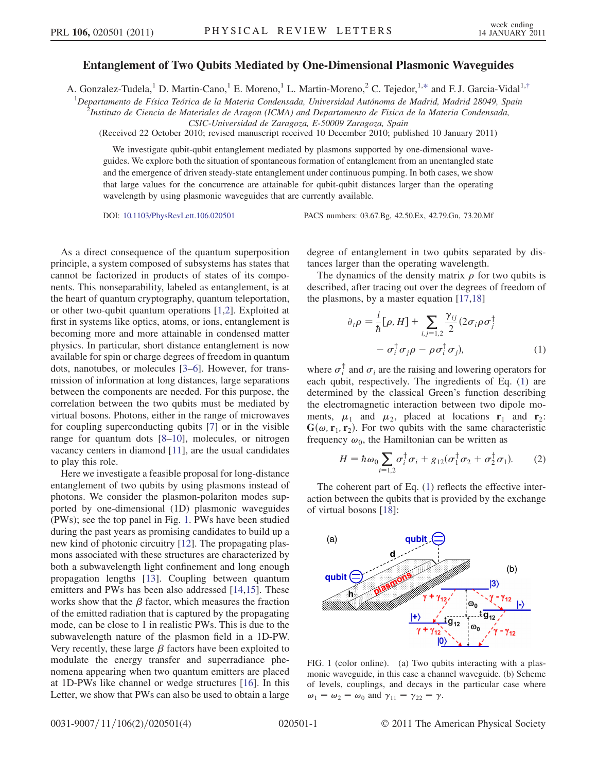## Entanglement of Two Qubits Mediated by One-Dimensional Plasmonic Waveguides

<span id="page-0-4"></span>A. Gonzalez-Tudela,<sup>1</sup> D. Martin-Cano,<sup>1</sup> E. Moreno,<sup>1</sup> L. Martin-Moreno,<sup>2</sup> C. Tejedor,<sup>1[,\\*](#page-3-0)</sup> and F. J. Garcia-Vidal<sup>1,[†](#page-3-1)</sup>

<sup>1</sup>Departamento de Física Teórica de la Materia Condensada, Universidad Autónoma de Madrid, Madrid 28049, Spain<br><sup>2</sup> Instituto de Ciencia de Materiales de Aragon (ICMA) and Departamento de Fisica de la Materia Condensada

<sup>5</sup>Instituto de Ciencia de Materiales de Aragon (ICMA) and Departamento de Fisica de la Materia Condensada,

CSIC-Universidad de Zaragoza, E-50009 Zaragoza, Spain

(Received 22 October 2010; revised manuscript received 10 December 2010; published 10 January 2011)

We investigate qubit-qubit entanglement mediated by plasmons supported by one-dimensional waveguides. We explore both the situation of spontaneous formation of entanglement from an unentangled state and the emergence of driven steady-state entanglement under continuous pumping. In both cases, we show that large values for the concurrence are attainable for qubit-qubit distances larger than the operating wavelength by using plasmonic waveguides that are currently available.

DOI: [10.1103/PhysRevLett.106.020501](http://dx.doi.org/10.1103/PhysRevLett.106.020501) PACS numbers: 03.67.Bg, 42.50.Ex, 42.79.Gn, 73.20.Mf

As a direct consequence of the quantum superposition principle, a system composed of subsystems has states that cannot be factorized in products of states of its components. This nonseparability, labeled as entanglement, is at the heart of quantum cryptography, quantum teleportation, or other two-qubit quantum operations [[1](#page-3-2),[2](#page-3-3)]. Exploited at first in systems like optics, atoms, or ions, entanglement is becoming more and more attainable in condensed matter physics. In particular, short distance entanglement is now available for spin or charge degrees of freedom in quantum dots, nanotubes, or molecules [\[3–](#page-3-4)[6](#page-3-5)]. However, for transmission of information at long distances, large separations between the components are needed. For this purpose, the correlation between the two qubits must be mediated by virtual bosons. Photons, either in the range of microwaves for coupling superconducting qubits [\[7](#page-3-6)] or in the visible range for quantum dots [[8](#page-3-7)[–10\]](#page-3-8), molecules, or nitrogen vacancy centers in diamond [\[11\]](#page-3-9), are the usual candidates to play this role.

Here we investigate a feasible proposal for long-distance entanglement of two qubits by using plasmons instead of photons. We consider the plasmon-polariton modes supported by one-dimensional (1D) plasmonic waveguides (PWs); see the top panel in Fig. [1.](#page-0-0) PWs have been studied during the past years as promising candidates to build up a new kind of photonic circuitry [[12](#page-3-10)]. The propagating plasmons associated with these structures are characterized by both a subwavelength light confinement and long enough propagation lengths [\[13\]](#page-3-11). Coupling between quantum emitters and PWs has been also addressed [\[14,](#page-3-12)[15\]](#page-3-13). These works show that the  $\beta$  factor, which measures the fraction of the emitted radiation that is captured by the propagating mode, can be close to 1 in realistic PWs. This is due to the subwavelength nature of the plasmon field in a 1D-PW. Very recently, these large  $\beta$  factors have been exploited to modulate the energy transfer and superradiance phenomena appearing when two quantum emitters are placed at 1D-PWs like channel or wedge structures [\[16\]](#page-3-14). In this Letter, we show that PWs can also be used to obtain a large degree of entanglement in two qubits separated by distances larger than the operating wavelength.

<span id="page-0-1"></span>The dynamics of the density matrix  $\rho$  for two qubits is described, after tracing out over the degrees of freedom of the plasmons, by a master equation [[17](#page-3-15),[18](#page-3-16)]

$$
\partial_t \rho = \frac{i}{\hbar} [\rho, H] + \sum_{i,j=1,2} \frac{\gamma_{ij}}{2} (2\sigma_i \rho \sigma_j^{\dagger} - \sigma_i^{\dagger} \sigma_j \rho - \rho \sigma_i^{\dagger} \sigma_j), \tag{1}
$$

where  $\sigma_i^{\dagger}$  and  $\sigma_i$  are the raising and lowering operators for each qubit, respectively. The ingredients of Eq. ([1\)](#page-0-1) are determined by the classical Green's function describing the electromagnetic interaction between two dipole moments,  $\mu_1$  and  $\mu_2$ , placed at locations  $\mathbf{r}_1$  and  $\mathbf{r}_2$ :  $G(\omega, r_1, r_2)$ . For two qubits with the same characteristic frequency  $\omega_0$ , the Hamiltonian can be written as

<span id="page-0-3"></span>
$$
H = \hbar \omega_0 \sum_{i=1,2} \sigma_i^{\dagger} \sigma_i + g_{12} (\sigma_1^{\dagger} \sigma_2 + \sigma_2^{\dagger} \sigma_1). \tag{2}
$$

The coherent part of Eq.  $(1)$  $(1)$  reflects the effective interaction between the qubits that is provided by the exchange of virtual bosons [[18](#page-3-16)]:

<span id="page-0-0"></span>

<span id="page-0-2"></span>FIG. 1 (color online). (a) Two qubits interacting with a plasmonic waveguide, in this case a channel waveguide. (b) Scheme of levels, couplings, and decays in the particular case where  $\omega_1 = \omega_2 = \omega_0$  and  $\gamma_{11} = \gamma_{22} = \gamma$ .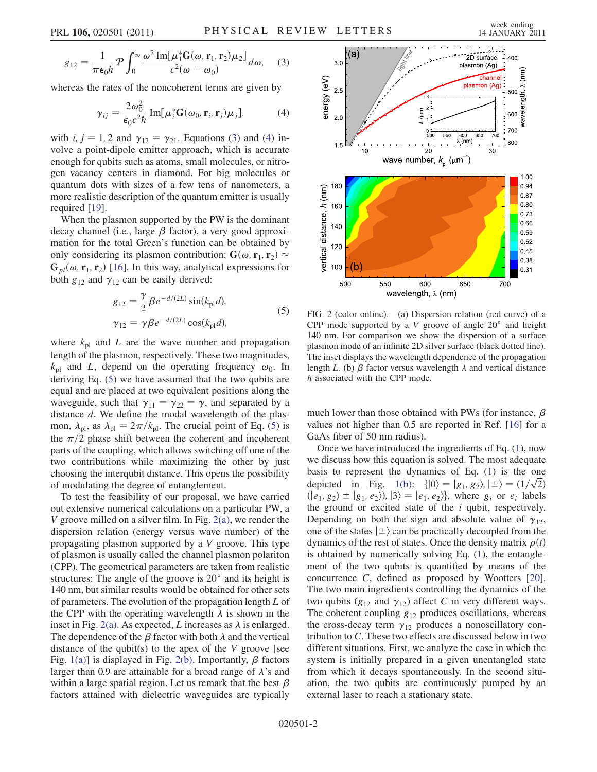<span id="page-1-0"></span>
$$
g_{12} = \frac{1}{\pi \epsilon_0 \hbar} \mathcal{P} \int_0^\infty \frac{\omega^2 \operatorname{Im}[\mu_1^* \mathbf{G}(\omega, \mathbf{r}_1, \mathbf{r}_2) \mu_2]}{c^2 (\omega - \omega_0)} d\omega, \quad (3)
$$

<span id="page-1-1"></span>whereas the rates of the noncoherent terms are given by

$$
\gamma_{ij} = \frac{2\omega_0^2}{\epsilon_0 c^2 \hbar} \operatorname{Im}[\mu_i^* \mathbf{G}(\omega_0, \mathbf{r}_i, \mathbf{r}_j) \mu_j], \tag{4}
$$

with *i*,  $j = 1, 2$  and  $\gamma_{12} = \gamma_{21}$ . Equations ([3](#page-1-0)) and ([4](#page-1-1)) involve a point-dipole emitter approach, which is accurate enough for qubits such as atoms, small molecules, or nitrogen vacancy centers in diamond. For big molecules or quantum dots with sizes of a few tens of nanometers, a more realistic description of the quantum emitter is usually required [\[19\]](#page-3-17).

When the plasmon supported by the PW is the dominant decay channel (i.e., large  $\beta$  factor), a very good approximation for the total Green's function can be obtained by only considering its plasmon contribution:  $G(\omega, r_1, r_2) \approx$  $G_{pl}(\omega, r_1, r_2)$  [[16](#page-3-14)]. In this way, analytical expressions for both  $g_{12}$  and  $\gamma_{12}$  can be easily derived:

$$
g_{12} = \frac{\gamma}{2} \beta e^{-d/(2L)} \sin(k_{\text{pl}}d),
$$
  
\n
$$
\gamma_{12} = \gamma \beta e^{-d/(2L)} \cos(k_{\text{pl}}d),
$$
\n(5)

<span id="page-1-2"></span>where  $k_{\text{pl}}$  and L are the wave number and propagation length of the plasmon, respectively. These two magnitudes,  $k_{\text{pl}}$  and L, depend on the operating frequency  $\omega_0$ . In deriving Eq. [\(5](#page-1-2)) we have assumed that the two qubits are equal and are placed at two equivalent positions along the waveguide, such that  $\gamma_{11} = \gamma_{22} = \gamma$ , and separated by a distance  $d$ . We define the modal wavelength of the plasmon,  $\lambda_{\text{pl}}$ , as  $\lambda_{\text{pl}} = 2\pi/k_{\text{pl}}$ . The crucial point of Eq. [\(5](#page-1-2)) is the  $\pi/2$  phase shift between the coherent and incoherent parts of the coupling, which allows switching off one of the two contributions while maximizing the other by just choosing the interqubit distance. This opens the possibility of modulating the degree of entanglement.

To test the feasibility of our proposal, we have carried out extensive numerical calculations on a particular PW, a V groove milled on a silver film. In Fig.  $2(a)$ , we render the dispersion relation (energy versus wave number) of the propagating plasmon supported by a V groove. This type of plasmon is usually called the channel plasmon polariton (CPP). The geometrical parameters are taken from realistic structures: The angle of the groove is  $20^{\circ}$  and its height is 140 nm, but similar results would be obtained for other sets of parameters. The evolution of the propagation length L of the CPP with the operating wavelength  $\lambda$  is shown in the inset in Fig. [2\(a\).](#page-1-3) As expected, L increases as  $\lambda$  is enlarged. The dependence of the  $\beta$  factor with both  $\lambda$  and the vertical distance of the qubit(s) to the apex of the  $V$  groove [see Fig. [1\(a\)\]](#page-0-2) is displayed in Fig. [2\(b\)](#page-1-3). Importantly,  $\beta$  factors larger than 0.9 are attainable for a broad range of  $\lambda$ 's and within a large spatial region. Let us remark that the best  $\beta$ factors attained with dielectric waveguides are typically



<span id="page-1-3"></span>FIG. 2 (color online). (a) Dispersion relation (red curve) of a CPP mode supported by a  $V$  groove of angle  $20^{\circ}$  and height 140 nm. For comparison we show the dispersion of a surface plasmon mode of an infinite 2D silver surface (black dotted line). The inset displays the wavelength dependence of the propagation length L. (b)  $\beta$  factor versus wavelength  $\lambda$  and vertical distance h associated with the CPP mode.

much lower than those obtained with PWs (for instance,  $\beta$ values not higher than 0.5 are reported in Ref. [[16](#page-3-14)] for a GaAs fiber of 50 nm radius).

Once we have introduced the ingredients of Eq. ([1\)](#page-0-1), now we discuss how this equation is solved. The most adequate basis to represent the dynamics of Eq. [\(1](#page-0-1)) is the one depicted in Fig. [1\(b\):](#page-0-2)  $\{|0\rangle = |g_1, g_2\rangle, |\pm\rangle = (1/\sqrt{2})$ <br>(le, g<sub>2</sub>)  $\pm |g_1, g_2\rangle$  |3) = le, g<sub>2</sub>)} where g<sub>1</sub> or g<sub>1</sub> labels  $\langle e_1, g_2 \rangle \pm \langle g_1, e_2 \rangle$ ,  $\langle 3 \rangle = \langle e_1, e_2 \rangle$ , where  $g_i$  or  $e_i$  labels the ground or excited state of the  $i$  qubit, respectively. Depending on both the sign and absolute value of  $\gamma_{12}$ , one of the states  $|\pm\rangle$  can be practically decoupled from the dynamics of the rest of states. Once the density matrix  $\rho(t)$  is obtained by numerically solving Eq. (1) the entangleis obtained by numerically solving Eq. [\(1\)](#page-0-1), the entanglement of the two qubits is quantified by means of the concurrence C, defined as proposed by Wootters [[20\]](#page-3-18). The two main ingredients controlling the dynamics of the two qubits ( $g_{12}$  and  $\gamma_{12}$ ) affect C in very different ways. The coherent coupling  $g_{12}$  produces oscillations, whereas the cross-decay term  $\gamma_{12}$  produces a nonoscillatory contribution to C. These two effects are discussed below in two different situations. First, we analyze the case in which the system is initially prepared in a given unentangled state from which it decays spontaneously. In the second situation, the two qubits are continuously pumped by an external laser to reach a stationary state.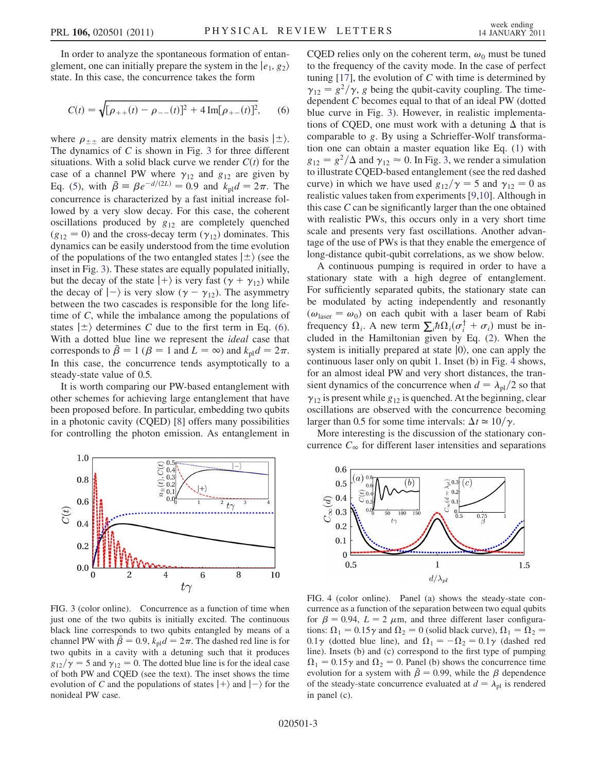In order to analyze the spontaneous formation of entanglement, one can initially prepare the system in the  $|e_1, g_2\rangle$ state. In this case, the concurrence takes the form

<span id="page-2-1"></span>
$$
C(t) = \sqrt{\left[\rho_{++}(t) - \rho_{--}(t)\right]^2 + 4\,\text{Im}[\rho_{+-}(t)]^2},\qquad(6)
$$

where  $\rho_{\pm\pm}$  are density matrix elements in the basis  $|\pm\rangle$ .<br>The dynamics of C is shown in Fig. 3 for three different The dynamics of  $C$  is shown in Fig. [3](#page-2-0) for three different situations. With a solid black curve we render  $C(t)$  for the case of a channel PW where  $\gamma_{12}$  and  $g_{12}$  are given by Eq. ([5\)](#page-1-2), with  $\bar{\beta} = \beta e^{-d/(2L)} = 0.9$  and  $k_{\text{pl}}d = 2\pi$ . The<br>concurrence is characterized by a fast initial increase folconcurrence is characterized by a fast initial increase followed by a very slow decay. For this case, the coherent oscillations produced by  $g_{12}$  are completely quenched  $(g_{12} = 0)$  and the cross-decay term  $(\gamma_{12})$  dominates. This dynamics can be easily understood from the time evolution of the populations of the two entangled states  $|\pm\rangle$  (see the inset in Fig. [3\)](#page-2-0). These states are equally populated initially, but the decay of the state  $|+\rangle$  is very fast ( $\gamma + \gamma_{12}$ ) while the decay of  $|-\rangle$  is very slow  $(\gamma - \gamma_{12})$ . The asymmetry<br>between the two cascades is responsible for the long lifebetween the two cascades is responsible for the long lifetime of C, while the imbalance among the populations of states  $|\pm\rangle$  determines C due to the first term in Eq. ([6\)](#page-2-1). With a dotted blue line we represent the *ideal* case that corresponds to  $\bar{\beta} = 1$  ( $\beta = 1$  and  $L = \infty$ ) and  $k_{\text{pl}}d = 2\pi$ . In this case, the concurrence tends asymptotically to a steady-state value of 0.5.

It is worth comparing our PW-based entanglement with other schemes for achieving large entanglement that have been proposed before. In particular, embedding two qubits in a photonic cavity (CQED) [[8\]](#page-3-7) offers many possibilities for controlling the photon emission. As entanglement in

<span id="page-2-0"></span>

FIG. 3 (color online). Concurrence as a function of time when just one of the two qubits is initially excited. The continuous black line corresponds to two qubits entangled by means of a channel PW with  $\bar{\beta} = 0.9$ ,  $k_{\text{pl}}d = 2\pi$ . The dashed red line is for two qubits in a cavity with a detuning such that it produces  $g_{12}/\gamma = 5$  and  $\gamma_{12} = 0$ . The dotted blue line is for the ideal case of both PW and CQED (see the text). The inset shows the time evolution of C and the populations of states  $|+\rangle$  and  $|-\rangle$  for the nonideal PW case nonideal PW case.

CQED relies only on the coherent term,  $\omega_0$  must be tuned to the frequency of the cavity mode. In the case of perfect tuning  $[17]$ , the evolution of C with time is determined by  $\gamma_{12} = g^2/\gamma$ , g being the qubit-cavity coupling. The timedependent C becomes equal to that of an ideal PW (dotted blue curve in Fig. [3\)](#page-2-0). However, in realistic implementations of CQED, one must work with a detuning  $\Delta$  that is comparable to g. By using a Schrieffer-Wolf transformation one can obtain a master equation like Eq. [\(1\)](#page-0-1) with  $g_{12} = g^2/\Delta$  and  $\gamma_{12} \approx 0$ . In Fig. [3](#page-2-0), we render a simulation<br>to illustrate COFD-based entanglement (see the red dashed to illustrate CQED-based entanglement (see the red dashed curve) in which we have used  $g_{12}/\gamma = 5$  and  $\gamma_{12} = 0$  as realistic values taken from experiments [[9](#page-3-19)[,10\]](#page-3-8). Although in this case C can be significantly larger than the one obtained with realistic PWs, this occurs only in a very short time scale and presents very fast oscillations. Another advantage of the use of PWs is that they enable the emergence of long-distance qubit-qubit correlations, as we show below.

A continuous pumping is required in order to have a stationary state with a high degree of entanglement. For sufficiently separated qubits, the stationary state can be modulated by acting independently and resonantly  $(\omega_{\text{laser}} = \omega_0)$  on each qubit with a laser beam of Rabi frequency  $\Omega_i$ . A new term  $\sum_i \hbar \Omega_i (\sigma_i^{\dagger} + \sigma_i)$  must be in-<br>cluded in the Hamiltonian given by Eq. (2). When the cluded in the Hamiltonian given by Eq. [\(2](#page-0-3)). When the system is initially prepared at state  $|0\rangle$ , one can apply the continuous laser only on qubit 1. Inset (b) in Fig. [4](#page-2-2) shows, for an almost ideal PW and very short distances, the transient dynamics of the concurrence when  $d = \lambda_{\text{pl}}/2$  so that  $\gamma_{12}$  is present while  $g_{12}$  is quenched. At the beginning, clear oscillations are observed with the concurrence becoming larger than 0.5 for some time intervals:  $\Delta t \approx 10/\gamma$ .<br>More interesting is the discussion of the stations

More interesting is the discussion of the stationary concurrence  $C_{\infty}$  for different laser intensities and separations

<span id="page-2-2"></span>

<span id="page-2-3"></span>FIG. 4 (color online). Panel (a) shows the steady-state concurrence as a function of the separation between two equal qubits for  $\beta = 0.94$ ,  $L = 2 \mu m$ , and three different laser configurations:  $\Omega_1 = 0.15\gamma$  and  $\Omega_2 = 0$  (solid black curve),  $\Omega_1 = \Omega_2 =$ 0.1 $\gamma$  (dotted blue line), and  $\Omega_1 = -\Omega_2 = 0.1\gamma$  (dashed red<br>line) Insets (b) and (c) correspond to the first type of numping line). Insets (b) and (c) correspond to the first type of pumping  $\Omega_1 = 0.15\gamma$  and  $\Omega_2 = 0$ . Panel (b) shows the concurrence time evolution for a system with  $\beta = 0.99$ , while the  $\beta$  dependence of the steady-state concurrence evaluated at  $d = \lambda_{\text{pl}}$  is rendered in panel (c).